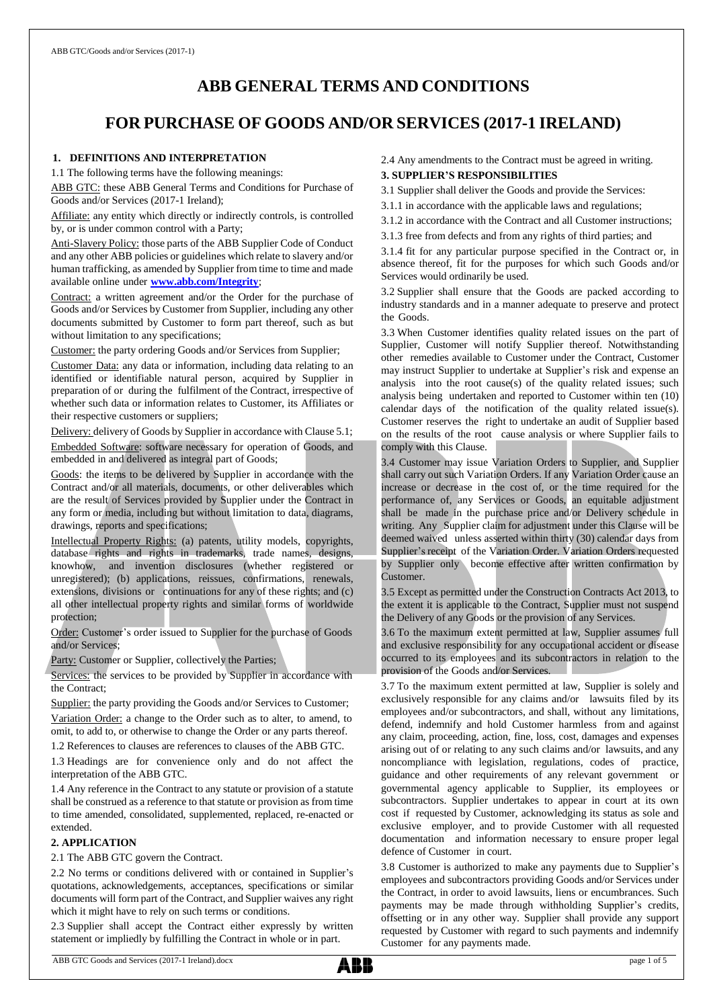# **ABB GENERAL TERMS AND CONDITIONS**

# **FOR PURCHASE OF GOODS AND/OR SERVICES (2017-1 IRELAND)**

#### **1. DEFINITIONS AND INTERPRETATION**

1.1 The following terms have the following meanings:

ABB GTC: these ABB General Terms and Conditions for Purchase of Goods and/or Services (2017-1 Ireland);

Affiliate: any entity which directly or indirectly controls, is controlled by, or is under common control with a Party;

Anti-Slavery Policy: those parts of the ABB Supplier Code of Conduct and any other ABB policies or guidelines which relate to slavery and/or human trafficking, as amended by Supplier from time to time and made available online under **[www.abb.com/Integrity](http://www.abb.com/Integrity.)**;

Contract: a written agreement and/or the Order for the purchase of Goods and/or Services by Customer from Supplier, including any other documents submitted by Customer to form part thereof, such as but without limitation to any specifications;

Customer: the party ordering Goods and/or Services from Supplier;

Customer Data: any data or information, including data relating to an identified or identifiable natural person, acquired by Supplier in preparation of or during the fulfilment of the Contract, irrespective of whether such data or information relates to Customer, its Affiliates or their respective customers or suppliers;

Delivery: delivery of Goods by Supplier in accordance with Clause 5.1; Embedded Software: software necessary for operation of Goods, and embedded in and delivered as integral part of Goods;

Goods: the items to be delivered by Supplier in accordance with the Contract and/or all materials, documents, or other deliverables which are the result of Services provided by Supplier under the Contract in any form or media, including but without limitation to data, diagrams, drawings, reports and specifications;

Intellectual Property Rights: (a) patents, utility models, copyrights, database rights and rights in trademarks, trade names, designs, knowhow, and invention disclosures (whether registered or unregistered); (b) applications, reissues, confirmations, renewals, extensions, divisions or continuations for any of these rights; and (c) all other intellectual property rights and similar forms of worldwide protection;

Order: Customer's order issued to Supplier for the purchase of Goods and/or Services;

Party: Customer or Supplier, collectively the Parties;

Services: the services to be provided by Supplier in accordance with the Contract;

Supplier: the party providing the Goods and/or Services to Customer;

Variation Order: a change to the Order such as to alter, to amend, to omit, to add to, or otherwise to change the Order or any parts thereof.

1.2 References to clauses are references to clauses of the ABB GTC.

1.3 Headings are for convenience only and do not affect the interpretation of the ABB GTC.

1.4 Any reference in the Contract to any statute or provision of a statute shall be construed as a reference to that statute or provision as from time to time amended, consolidated, supplemented, replaced, re-enacted or extended.

### **2. APPLICATION**

2.1 The ABB GTC govern the Contract.

2.2 No terms or conditions delivered with or contained in Supplier's quotations, acknowledgements, acceptances, specifications or similar documents will form part of the Contract, and Supplier waives any right which it might have to rely on such terms or conditions.

2.3 Supplier shall accept the Contract either expressly by written statement or impliedly by fulfilling the Contract in whole or in part.

2.4 Any amendments to the Contract must be agreed in writing.

#### **3. SUPPLIER'S RESPONSIBILITIES**

3.1 Supplier shall deliver the Goods and provide the Services:

3.1.1 in accordance with the applicable laws and regulations;

3.1.2 in accordance with the Contract and all Customer instructions;

3.1.3 free from defects and from any rights of third parties; and

3.1.4 fit for any particular purpose specified in the Contract or, in absence thereof, fit for the purposes for which such Goods and/or Services would ordinarily be used.

3.2 Supplier shall ensure that the Goods are packed according to industry standards and in a manner adequate to preserve and protect the Goods.

3.3 When Customer identifies quality related issues on the part of Supplier, Customer will notify Supplier thereof. Notwithstanding other remedies available to Customer under the Contract, Customer may instruct Supplier to undertake at Supplier's risk and expense an analysis into the root cause(s) of the quality related issues; such analysis being undertaken and reported to Customer within ten (10) calendar days of the notification of the quality related issue(s). Customer reserves the right to undertake an audit of Supplier based on the results of the root cause analysis or where Supplier fails to comply with this Clause.

3.4 Customer may issue Variation Orders to Supplier, and Supplier shall carry out such Variation Orders. If any Variation Order cause an increase or decrease in the cost of, or the time required for the performance of, any Services or Goods, an equitable adjustment shall be made in the purchase price and/or Delivery schedule in writing. Any Supplier claim for adjustment under this Clause will be deemed waived unless asserted within thirty (30) calendar days from Supplier's receipt of the Variation Order. Variation Orders requested by Supplier only become effective after written confirmation by Customer.

3.5 Except as permitted under the Construction Contracts Act 2013, to the extent it is applicable to the Contract, Supplier must not suspend the Delivery of any Goods or the provision of any Services.

3.6 To the maximum extent permitted at law, Supplier assumes full and exclusive responsibility for any occupational accident or disease occurred to its employees and its subcontractors in relation to the provision of the Goods and/or Services.

3.7 To the maximum extent permitted at law, Supplier is solely and exclusively responsible for any claims and/or lawsuits filed by its employees and/or subcontractors, and shall, without any limitations, defend, indemnify and hold Customer harmless from and against any claim, proceeding, action, fine, loss, cost, damages and expenses arising out of or relating to any such claims and/or lawsuits, and any noncompliance with legislation, regulations, codes of practice, guidance and other requirements of any relevant government or governmental agency applicable to Supplier, its employees or subcontractors. Supplier undertakes to appear in court at its own cost if requested by Customer, acknowledging its status as sole and exclusive employer, and to provide Customer with all requested documentation and information necessary to ensure proper legal defence of Customer in court.

3.8 Customer is authorized to make any payments due to Supplier's employees and subcontractors providing Goods and/or Services under the Contract, in order to avoid lawsuits, liens or encumbrances. Such payments may be made through withholding Supplier's credits, offsetting or in any other way. Supplier shall provide any support requested by Customer with regard to such payments and indemnify Customer for any payments made.

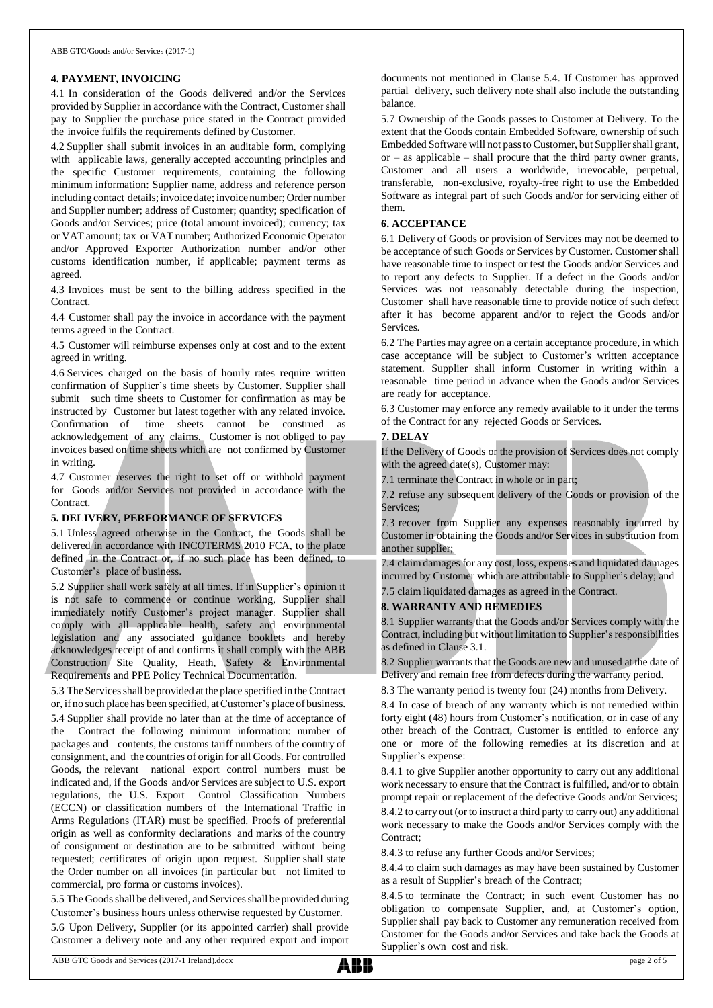### **4. PAYMENT, INVOICING**

4.1 In consideration of the Goods delivered and/or the Services provided by Supplier in accordance with the Contract, Customer shall pay to Supplier the purchase price stated in the Contract provided the invoice fulfils the requirements defined by Customer.

4.2 Supplier shall submit invoices in an auditable form, complying with applicable laws, generally accepted accounting principles and the specific Customer requirements, containing the following minimum information: Supplier name, address and reference person including contact details; invoice date; invoice number; Order number and Supplier number; address of Customer; quantity; specification of Goods and/or Services; price (total amount invoiced); currency; tax or VAT amount; tax or VAT number; Authorized Economic Operator and/or Approved Exporter Authorization number and/or other customs identification number, if applicable; payment terms as agreed.

4.3 Invoices must be sent to the billing address specified in the Contract.

4.4 Customer shall pay the invoice in accordance with the payment terms agreed in the Contract.

4.5 Customer will reimburse expenses only at cost and to the extent agreed in writing.

4.6 Services charged on the basis of hourly rates require written confirmation of Supplier's time sheets by Customer. Supplier shall submit such time sheets to Customer for confirmation as may be instructed by Customer but latest together with any related invoice. Confirmation of time sheets cannot be construed as acknowledgement of any claims. Customer is not obliged to pay invoices based on time sheets which are not confirmed by Customer in writing.

4.7 Customer reserves the right to set off or withhold payment for Goods and/or Services not provided in accordance with the Contract.

#### **5. DELIVERY, PERFORMANCE OF SERVICES**

5.1 Unless agreed otherwise in the Contract, the Goods shall be delivered in accordance with INCOTERMS 2010 FCA, to the place defined in the Contract or, if no such place has been defined, to Customer's place of business.

5.2 Supplier shall work safely at all times. If in Supplier's opinion it is not safe to commence or continue working, Supplier shall immediately notify Customer's project manager. Supplier shall comply with all applicable health, safety and environmental legislation and any associated guidance booklets and hereby acknowledges receipt of and confirms it shall comply with the ABB Construction Site Quality, Heath, Safety & Environmental Requirements and PPE Policy Technical Documentation.

5.3 The Servicesshall be provided at the place specified in the Contract or, if no such place has been specified, atCustomer's place of business.

5.4 Supplier shall provide no later than at the time of acceptance of Contract the following minimum information: number of packages and contents, the customs tariff numbers of the country of consignment, and the countries of origin for all Goods. For controlled Goods, the relevant national export control numbers must be indicated and, if the Goods and/or Services are subject to U.S. export regulations, the U.S. Export Control Classification Numbers (ECCN) or classification numbers of the International Traffic in Arms Regulations (ITAR) must be specified. Proofs of preferential origin as well as conformity declarations and marks of the country of consignment or destination are to be submitted without being requested; certificates of origin upon request. Supplier shall state the Order number on all invoices (in particular but not limited to commercial, pro forma or customs invoices).

5.5 The Goods shall be delivered, and Services shall be provided during Customer's business hours unless otherwise requested by Customer.

5.6 Upon Delivery, Supplier (or its appointed carrier) shall provide Customer a delivery note and any other required export and import documents not mentioned in Clause 5.4. If Customer has approved partial delivery, such delivery note shall also include the outstanding balance.

5.7 Ownership of the Goods passes to Customer at Delivery. To the extent that the Goods contain Embedded Software, ownership of such Embedded Software will not passto Customer, but Suppliershall grant,  $or - as applicable - shall prove the third party owner grants,$ Customer and all users a worldwide, irrevocable, perpetual, transferable, non-exclusive, royalty-free right to use the Embedded Software as integral part of such Goods and/or for servicing either of them.

### **6. ACCEPTANCE**

6.1 Delivery of Goods or provision of Services may not be deemed to be acceptance of such Goods or Services by Customer. Customer shall have reasonable time to inspect or test the Goods and/or Services and to report any defects to Supplier. If a defect in the Goods and/or Services was not reasonably detectable during the inspection, Customer shall have reasonable time to provide notice of such defect after it has become apparent and/or to reject the Goods and/or Services.

6.2 The Parties may agree on a certain acceptance procedure, in which case acceptance will be subject to Customer's written acceptance statement. Supplier shall inform Customer in writing within a reasonable time period in advance when the Goods and/or Services are ready for acceptance.

6.3 Customer may enforce any remedy available to it under the terms of the Contract for any rejected Goods or Services.

### **7. DELAY**

If the Delivery of Goods or the provision of Services does not comply with the agreed date(s), Customer may:

7.1 terminate the Contract in whole or in part;

7.2 refuse any subsequent delivery of the Goods or provision of the Services:

7.3 recover from Supplier any expenses reasonably incurred by Customer in obtaining the Goods and/or Services in substitution from another supplier;

7.4 claimdamages for any cost, loss, expenses and liquidated damages incurred by Customer which are attributable to Supplier's delay; and 7.5 claim liquidated damages as agreed in the Contract.

# **8. WARRANTY AND REMEDIES**

8.1 Supplier warrants that the Goods and/or Services comply with the Contract, including but without limitation to Supplier's responsibilities as defined in Clause 3.1.

8.2 Supplier warrants that the Goods are new and unused at the date of Delivery and remain free from defects during the warranty period.

8.3 The warranty period is twenty four (24) months from Delivery.

8.4 In case of breach of any warranty which is not remedied within forty eight (48) hours from Customer's notification, or in case of any other breach of the Contract, Customer is entitled to enforce any one or more of the following remedies at its discretion and at Supplier's expense:

8.4.1 to give Supplier another opportunity to carry out any additional work necessary to ensure that the Contract is fulfilled, and/or to obtain prompt repair or replacement of the defective Goods and/or Services;

8.4.2 to carry out (or to instruct a third party to carry out) any additional work necessary to make the Goods and/or Services comply with the Contract:

8.4.3 to refuse any further Goods and/or Services;

8.4.4 to claim such damages as may have been sustained by Customer as a result of Supplier's breach of the Contract;

8.4.5 to terminate the Contract; in such event Customer has no obligation to compensate Supplier, and, at Customer's option, Supplier shall pay back to Customer any remuneration received from Customer for the Goods and/or Services and take back the Goods at Supplier's own cost and risk.

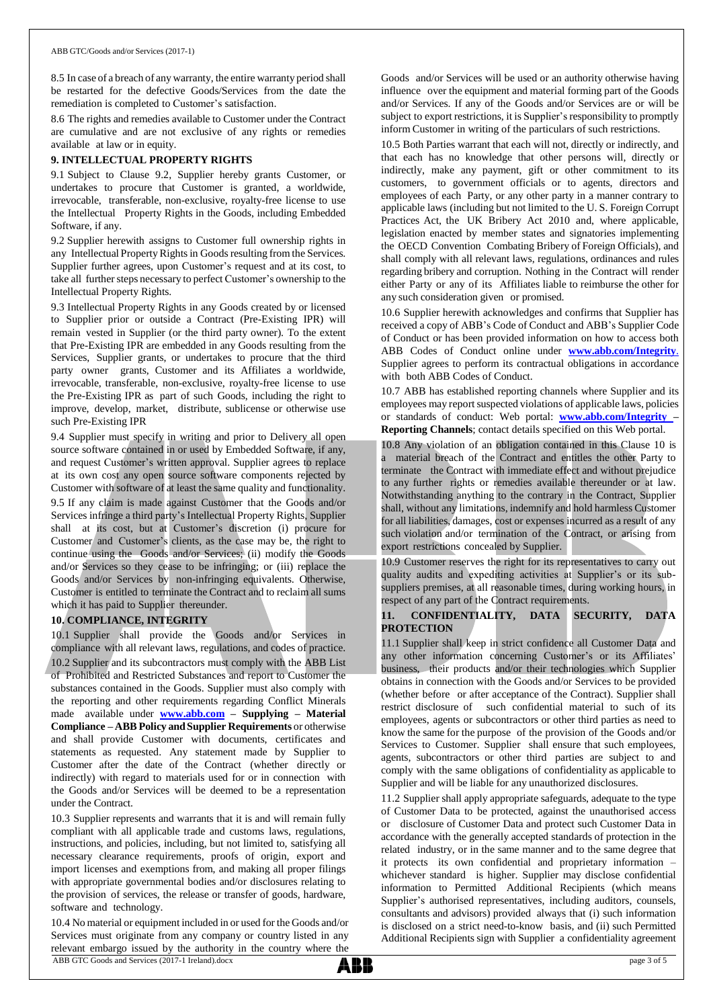8.5 In case of a breach of any warranty, the entire warranty period shall be restarted for the defective Goods/Services from the date the remediation is completed to Customer's satisfaction.

8.6 The rights and remedies available to Customer under the Contract are cumulative and are not exclusive of any rights or remedies available at law or in equity.

#### **9. INTELLECTUAL PROPERTY RIGHTS**

9.1 Subject to Clause 9.2, Supplier hereby grants Customer, or undertakes to procure that Customer is granted, a worldwide, irrevocable, transferable, non-exclusive, royalty-free license to use the Intellectual Property Rights in the Goods, including Embedded Software, if any.

9.2 Supplier herewith assigns to Customer full ownership rights in any Intellectual Property Rights in Goods resulting from the Services. Supplier further agrees, upon Customer's request and at its cost, to take all further steps necessary to perfect Customer's ownership to the Intellectual Property Rights.

9.3 Intellectual Property Rights in any Goods created by or licensed to Supplier prior or outside a Contract (Pre-Existing IPR) will remain vested in Supplier (or the third party owner). To the extent that Pre-Existing IPR are embedded in any Goods resulting from the Services, Supplier grants, or undertakes to procure that the third party owner grants, Customer and its Affiliates a worldwide, irrevocable, transferable, non-exclusive, royalty-free license to use the Pre-Existing IPR as part of such Goods, including the right to improve, develop, market, distribute, sublicense or otherwise use such Pre-Existing IPR

9.4 Supplier must specify in writing and prior to Delivery all open source software contained in or used by Embedded Software, if any, and request Customer's written approval. Supplier agrees to replace at its own cost any open source software components rejected by Customer with software of at least the same quality and functionality. 9.5 If any claim is made against Customer that the Goods and/or Services infringe a third party's Intellectual Property Rights, Supplier shall at its cost, but at Customer's discretion (i) procure for Customer and Customer's clients, as the case may be, the right to continue using the Goods and/or Services; (ii) modify the Goods and/or Services so they cease to be infringing; or (iii) replace the Goods and/or Services by non-infringing equivalents. Otherwise, Customer is entitled to terminate the Contract and to reclaim all sums which it has paid to Supplier thereunder.

# **10. COMPLIANCE, INTEGRITY**

10.1 Supplier shall provide the Goods and/or Services in compliance with all relevant laws, regulations, and codes of practice. 10.2 Supplier and its subcontractors must comply with the ABB List of Prohibited and Restricted Substances and report to Customer the substances contained in the Goods. Supplier must also comply with the reporting and other requirements regarding Conflict Minerals made available under **[www.abb.com](http://www.abb.com/) – Supplying – Material Compliance** – **ABB Policy** and **Supplier Requirements** or otherwise and shall provide Customer with documents, certificates and statements as requested. Any statement made by Supplier to Customer after the date of the Contract (whether directly or indirectly) with regard to materials used for or in connection with the Goods and/or Services will be deemed to be a representation under the Contract.

10.3 Supplier represents and warrants that it is and will remain fully compliant with all applicable trade and customs laws, regulations, instructions, and policies, including, but not limited to, satisfying all necessary clearance requirements, proofs of origin, export and import licenses and exemptions from, and making all proper filings with appropriate governmental bodies and/or disclosures relating to the provision of services, the release or transfer of goods, hardware, software and technology.

ABB GTC Goods and Services (2017-1 Ireland).docx page 3 of 5 10.4 No material or equipment included in or used for the Goods and/or Services must originate from any company or country listed in any relevant embargo issued by the authority in the country where the

Goods and/or Services will be used or an authority otherwise having influence over the equipment and material forming part of the Goods and/or Services. If any of the Goods and/or Services are or will be subject to export restrictions, it is Supplier's responsibility to promptly inform Customer in writing of the particulars of such restrictions.

10.5 Both Parties warrant that each will not, directly or indirectly, and that each has no knowledge that other persons will, directly or indirectly, make any payment, gift or other commitment to its customers, to government officials or to agents, directors and employees of each Party, or any other party in a manner contrary to applicable laws (including but not limited to the U. S. Foreign Corrupt Practices Act, the UK Bribery Act 2010 and, where applicable, legislation enacted by member states and signatories implementing the OECD Convention Combating Bribery of Foreign Officials), and shall comply with all relevant laws, regulations, ordinances and rules regarding bribery and corruption. Nothing in the Contract will render either Party or any of its Affiliates liable to reimburse the other for any such consideration given or promised.

10.6 Supplier herewith acknowledges and confirms that Supplier has received a copy of ABB's Code of Conduct and ABB's Supplier Code of Conduct or has been provided information on how to access both ABB Codes of Conduct online under **[www.abb.com/Integrity](http://www.abb.com/Integrity.)**. Supplier agrees to perform its contractual obligations in accordance with both ABB Codes of Conduct.

10.7 ABB has established reporting channels where Supplier and its employees may report suspected violations of applicable laws, policies or standards of conduct: Web portal: **[www.abb.com/Integrity](http://www.abb.com/Integrity) – Reporting Channels**; contact details specified on this Web portal.

10.8 Any violation of an obligation contained in this Clause 10 is a material breach of the Contract and entitles the other Party to terminate the Contract with immediate effect and without prejudice to any further rights or remedies available thereunder or at law. Notwithstanding anything to the contrary in the Contract, Supplier shall, without any limitations, indemnify and hold harmless Customer for all liabilities, damages, cost or expenses incurred as a result of any such violation and/or termination of the Contract, or arising from export restrictions concealed by Supplier.

10.9 Customer reserves the right for its representatives to carry out quality audits and expediting activities at Supplier's or its subsuppliers premises, at all reasonable times, during working hours, in respect of any part of the Contract requirements.

### **11. CONFIDENTIALITY, DATA SECURITY, DATA PROTECTION**

11.1 Supplier shall keep in strict confidence all Customer Data and any other information concerning Customer's or its Affiliates' business, their products and/or their technologies which Supplier obtains in connection with the Goods and/or Services to be provided (whether before or after acceptance of the Contract). Supplier shall restrict disclosure of such confidential material to such of its employees, agents or subcontractors or other third parties as need to know the same for the purpose of the provision of the Goods and/or Services to Customer. Supplier shall ensure that such employees, agents, subcontractors or other third parties are subject to and comply with the same obligations of confidentiality as applicable to Supplier and will be liable for any unauthorized disclosures.

11.2 Supplier shall apply appropriate safeguards, adequate to the type of Customer Data to be protected, against the unauthorised access or disclosure of Customer Data and protect such Customer Data in accordance with the generally accepted standards of protection in the related industry, or in the same manner and to the same degree that it protects its own confidential and proprietary information – whichever standard is higher. Supplier may disclose confidential information to Permitted Additional Recipients (which means Supplier's authorised representatives, including auditors, counsels, consultants and advisors) provided always that (i) such information is disclosed on a strict need-to-know basis, and (ii) such Permitted Additional Recipients sign with Supplier a confidentiality agreement

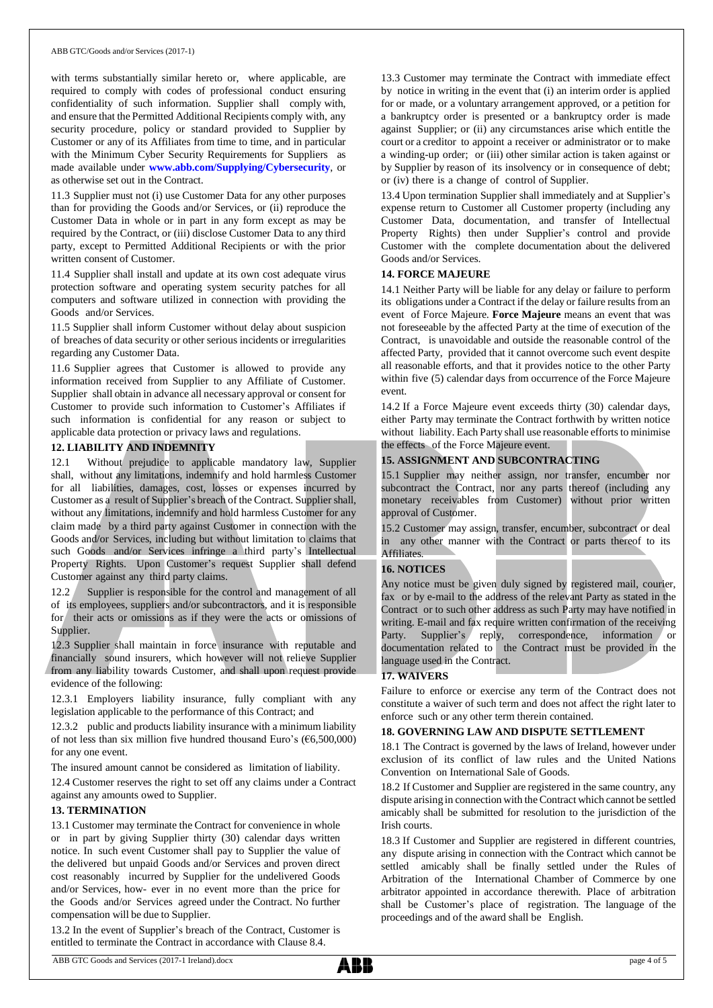#### ABB GTC/Goods and/or Services (2017-1)

with terms substantially similar hereto or, where applicable, are required to comply with codes of professional conduct ensuring confidentiality of such information. Supplier shall comply with, and ensure that the Permitted Additional Recipients comply with, any security procedure, policy or standard provided to Supplier by Customer or any of its Affiliates from time to time, and in particular with the Minimum Cyber Security Requirements for Suppliers as made available under **[www.abb.com/Supplying/Cybersecurity](http://www.abb.com/Supplying/Cybersecurity)**, or as otherwise set out in the Contract.

11.3 Supplier must not (i) use Customer Data for any other purposes than for providing the Goods and/or Services, or (ii) reproduce the Customer Data in whole or in part in any form except as may be required by the Contract, or (iii) disclose Customer Data to any third party, except to Permitted Additional Recipients or with the prior written consent of Customer.

11.4 Supplier shall install and update at its own cost adequate virus protection software and operating system security patches for all computers and software utilized in connection with providing the Goods and/or Services.

11.5 Supplier shall inform Customer without delay about suspicion of breaches of data security or other serious incidents or irregularities regarding any Customer Data.

11.6 Supplier agrees that Customer is allowed to provide any information received from Supplier to any Affiliate of Customer. Supplier shall obtain in advance all necessary approval or consent for Customer to provide such information to Customer's Affiliates if such information is confidential for any reason or subject to applicable data protection or privacy laws and regulations.

#### **12. LIABILITY AND INDEMNITY**

12.1 Without prejudice to applicable mandatory law, Supplier shall, without any limitations, indemnify and hold harmless Customer for all liabilities, damages, cost, losses or expenses incurred by Customer as a result of Supplier's breach of the Contract. Supplier shall, without any limitations, indemnify and hold harmless Customer for any claim made by a third party against Customer in connection with the Goods and/or Services, including but without limitation to claims that such Goods and/or Services infringe a third party's Intellectual Property Rights. Upon Customer's request Supplier shall defend Customer against any third party claims.

12.2 Supplier is responsible for the control and management of all of its employees, suppliers and/or subcontractors, and it is responsible for their acts or omissions as if they were the acts or omissions of Supplier.

12.3 Supplier shall maintain in force insurance with reputable and financially sound insurers, which however will not relieve Supplier from any liability towards Customer, and shall upon request provide evidence of the following:

12.3.1 Employers liability insurance, fully compliant with any legislation applicable to the performance of this Contract; and

12.3.2 public and products liability insurance with a minimum liability of not less than six million five hundred thousand Euro's ( $\epsilon$ 6,500,000) for any one event.

The insured amount cannot be considered as limitation of liability.

12.4 Customer reserves the right to set off any claims under a Contract against any amounts owed to Supplier.

#### **13. TERMINATION**

13.1 Customer may terminate the Contract for convenience in whole or in part by giving Supplier thirty (30) calendar days written notice. In such event Customer shall pay to Supplier the value of the delivered but unpaid Goods and/or Services and proven direct cost reasonably incurred by Supplier for the undelivered Goods and/or Services, how- ever in no event more than the price for the Goods and/or Services agreed under the Contract. No further compensation will be due to Supplier.

13.2 In the event of Supplier's breach of the Contract, Customer is entitled to terminate the Contract in accordance with Clause 8.4.

13.3 Customer may terminate the Contract with immediate effect by notice in writing in the event that (i) an interim order is applied for or made, or a voluntary arrangement approved, or a petition for a bankruptcy order is presented or a bankruptcy order is made against Supplier; or (ii) any circumstances arise which entitle the court or a creditor to appoint a receiver or administrator or to make a winding-up order; or (iii) other similar action is taken against or by Supplier by reason of its insolvency or in consequence of debt; or (iv) there is a change of control of Supplier.

13.4 Upon termination Supplier shall immediately and at Supplier's expense return to Customer all Customer property (including any Customer Data, documentation, and transfer of Intellectual Property Rights) then under Supplier's control and provide Customer with the complete documentation about the delivered Goods and/or Services.

### **14. FORCE MAJEURE**

14.1 Neither Party will be liable for any delay or failure to perform its obligations under a Contract if the delay or failure results from an event of Force Majeure. **Force Majeure** means an event that was not foreseeable by the affected Party at the time of execution of the Contract, is unavoidable and outside the reasonable control of the affected Party, provided that it cannot overcome such event despite all reasonable efforts, and that it provides notice to the other Party within five (5) calendar days from occurrence of the Force Majeure event.

14.2 If a Force Majeure event exceeds thirty (30) calendar days, either Party may terminate the Contract forthwith by written notice without liability. Each Party shall use reasonable efforts to minimise the effects of the Force Majeure event.

#### **15. ASSIGNMENT AND SUBCONTRACTING**

15.1 Supplier may neither assign, nor transfer, encumber nor subcontract the Contract, nor any parts thereof (including any monetary receivables from Customer) without prior written approval of Customer.

15.2 Customer may assign, transfer, encumber, subcontract or deal in any other manner with the Contract or parts thereof to its Affiliates.

# **16. NOTICES**

Any notice must be given duly signed by registered mail, courier, fax or by e-mail to the address of the relevant Party as stated in the Contract or to such other address as such Party may have notified in writing. E-mail and fax require written confirmation of the receiving Party. Supplier's reply, correspondence, information or documentation related to the Contract must be provided in the language used in the Contract.

#### **17. WAIVERS**

Failure to enforce or exercise any term of the Contract does not constitute a waiver of such term and does not affect the right later to enforce such or any other term therein contained.

#### **18. GOVERNING LAW AND DISPUTE SETTLEMENT**

18.1 The Contract is governed by the laws of Ireland, however under exclusion of its conflict of law rules and the United Nations Convention on International Sale of Goods.

18.2 If Customer and Supplier are registered in the same country, any dispute arising in connection with the Contract which cannot be settled amicably shall be submitted for resolution to the jurisdiction of the Irish courts.

18.3 If Customer and Supplier are registered in different countries, any dispute arising in connection with the Contract which cannot be settled amicably shall be finally settled under the Rules of Arbitration of the International Chamber of Commerce by one arbitrator appointed in accordance therewith. Place of arbitration shall be Customer's place of registration. The language of the proceedings and of the award shall be English.